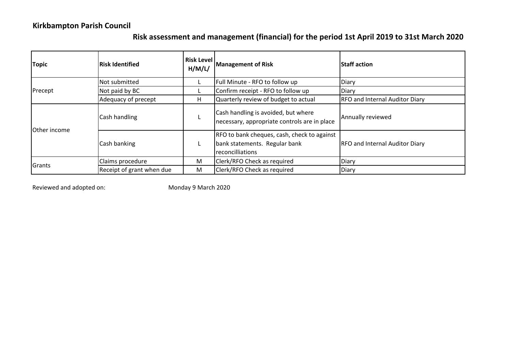## **Kirkbampton Parish Council**

## **Risk assessment and management (financial) for the period 1st April 2019 to 31st March 2020**

| <b>Topic</b>         | <b>Risk Identified</b>    | <b>Risk Level</b><br>H/M/L/ | <b>Management of Risk</b>                                                                        | <b>Staff action</b>                   |
|----------------------|---------------------------|-----------------------------|--------------------------------------------------------------------------------------------------|---------------------------------------|
| Precept              | Not submitted             |                             | Full Minute - RFO to follow up                                                                   | Diary                                 |
|                      | Not paid by BC            |                             | Confirm receipt - RFO to follow up                                                               | Diary                                 |
|                      | Adequacy of precept       | н                           | Quarterly review of budget to actual                                                             | <b>RFO and Internal Auditor Diary</b> |
| <b>IOther income</b> | Cash handling             |                             | Cash handling is avoided, but where<br>necessary, appropriate controls are in place              | Annually reviewed                     |
|                      | Cash banking              |                             | RFO to bank cheques, cash, check to against<br>bank statements. Regular bank<br>reconcilliations | <b>RFO and Internal Auditor Diary</b> |
| Grants               | Claims procedure          | M                           | Clerk/RFO Check as required                                                                      | Diary                                 |
|                      | Receipt of grant when due | M                           | Clerk/RFO Check as required                                                                      | Diary                                 |

Reviewed and adopted on: Monday 9 March 2020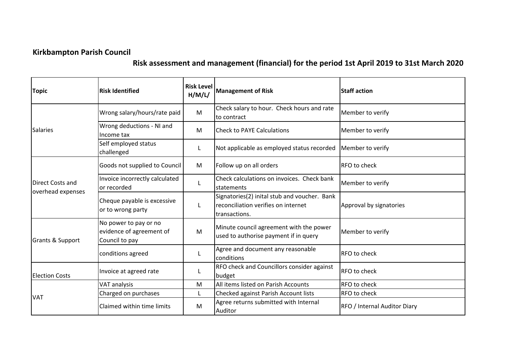## **Kirkbampton Parish Council**

## **Risk assessment and management (financial) for the period 1st April 2019 to 31st March 2020**

| <b>Topic</b>                          | <b>Risk Identified</b>                                              | <b>Risk Level</b><br>H/M/L/ | <b>Management of Risk</b>                                                                            | <b>Staff action</b>          |
|---------------------------------------|---------------------------------------------------------------------|-----------------------------|------------------------------------------------------------------------------------------------------|------------------------------|
| <b>Salaries</b>                       | Wrong salary/hours/rate paid                                        | M                           | Check salary to hour. Check hours and rate<br>to contract                                            | Member to verify             |
|                                       | Wrong deductions - NI and<br>Income tax                             | M                           | <b>Check to PAYE Calculations</b>                                                                    | Member to verify             |
|                                       | Self employed status<br>challenged                                  |                             | Not applicable as employed status recorded                                                           | Member to verify             |
| Direct Costs and<br>overhead expenses | Goods not supplied to Council                                       | M                           | Follow up on all orders                                                                              | RFO to check                 |
|                                       | Invoice incorrectly calculated<br>or recorded                       |                             | Check calculations on invoices. Check bank<br>statements                                             | Member to verify             |
|                                       | Cheque payable is excessive<br>or to wrong party                    |                             | Signatories(2) inital stub and voucher. Bank<br>reconciliation verifies on internet<br>transactions. | Approval by signatories      |
| <b>Grants &amp; Support</b>           | No power to pay or no<br>evidence of agreement of<br>Council to pay | M                           | Minute council agreement with the power<br>used to authorise payment if in query                     | Member to verify             |
|                                       | conditions agreed                                                   |                             | Agree and document any reasonable<br>conditions                                                      | RFO to check                 |
| <b>Election Costs</b>                 | Invoice at agreed rate                                              |                             | RFO check and Councillors consider against<br>budget                                                 | RFO to check                 |
| <b>VAT</b>                            | VAT analysis                                                        | M                           | All items listed on Parish Accounts                                                                  | RFO to check                 |
|                                       | Charged on purchases                                                |                             | Checked against Parish Account lists                                                                 | RFO to check                 |
|                                       | Claimed within time limits                                          | M                           | Agree returns submitted with Internal<br>Auditor                                                     | RFO / Internal Auditor Diary |